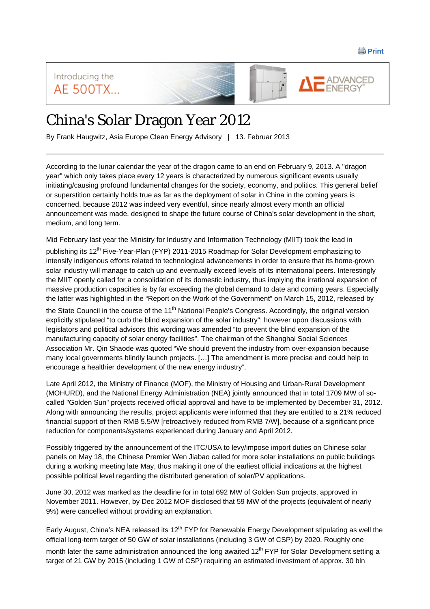**Print** 

Introducing the ADVANCED **AE 500TX...** 

## China's Solar Dragon Year 2012

By Frank Haugwitz, Asia Europe Clean Energy Advisory | 13. Februar 2013

According to the lunar calendar the year of the dragon came to an end on February 9, 2013. A "dragon year" which only takes place every 12 years is characterized by numerous significant events usually initiating/causing profound fundamental changes for the society, economy, and politics. This general belief or superstition certainly holds true as far as the deployment of solar in China in the coming years is concerned, because 2012 was indeed very eventful, since nearly almost every month an official announcement was made, designed to shape the future course of China's solar development in the short, medium, and long term.

Mid February last year the Ministry for Industry and Information Technology (MIIT) took the lead in publishing its 12<sup>th</sup> Five-Year-Plan (FYP) 2011-2015 Roadmap for Solar Development emphasizing to intensify indigenous efforts related to technological advancements in order to ensure that its home-grown solar industry will manage to catch up and eventually exceed levels of its international peers. Interestingly the MIIT openly called for a consolidation of its domestic industry, thus implying the irrational expansion of massive production capacities is by far exceeding the global demand to date and coming years. Especially the latter was highlighted in the "Report on the Work of the Government" on March 15, 2012, released by

the State Council in the course of the 11<sup>th</sup> National People's Congress. Accordingly, the original version explicitly stipulated "to curb the blind expansion of the solar industry"; however upon discussions with legislators and political advisors this wording was amended "to prevent the blind expansion of the manufacturing capacity of solar energy facilities". The chairman of the Shanghai Social Sciences Association Mr. Qin Shaode was quoted "We should prevent the industry from over-expansion because many local governments blindly launch projects. […] The amendment is more precise and could help to encourage a healthier development of the new energy industry".

Late April 2012, the Ministry of Finance (MOF), the Ministry of Housing and Urban-Rural Development (MOHURD), and the National Energy Administration (NEA) jointly announced that in total 1709 MW of socalled "Golden Sun" projects received official approval and have to be implemented by December 31, 2012. Along with announcing the results, project applicants were informed that they are entitled to a 21% reduced financial support of then RMB 5.5/W [retroactively reduced from RMB 7/W], because of a significant price reduction for components/systems experienced during January and April 2012.

Possibly triggered by the announcement of the ITC/USA to levy/impose import duties on Chinese solar panels on May 18, the Chinese Premier Wen Jiabao called for more solar installations on public buildings during a working meeting late May, thus making it one of the earliest official indications at the highest possible political level regarding the distributed generation of solar/PV applications.

June 30, 2012 was marked as the deadline for in total 692 MW of Golden Sun projects, approved in November 2011. However, by Dec 2012 MOF disclosed that 59 MW of the projects (equivalent of nearly 9%) were cancelled without providing an explanation.

Early August, China's NEA released its 12<sup>th</sup> FYP for Renewable Energy Development stipulating as well the official long-term target of 50 GW of solar installations (including 3 GW of CSP) by 2020. Roughly one

month later the same administration announced the long awaited  $12<sup>th</sup>$  FYP for Solar Development setting a target of 21 GW by 2015 (including 1 GW of CSP) requiring an estimated investment of approx. 30 bln